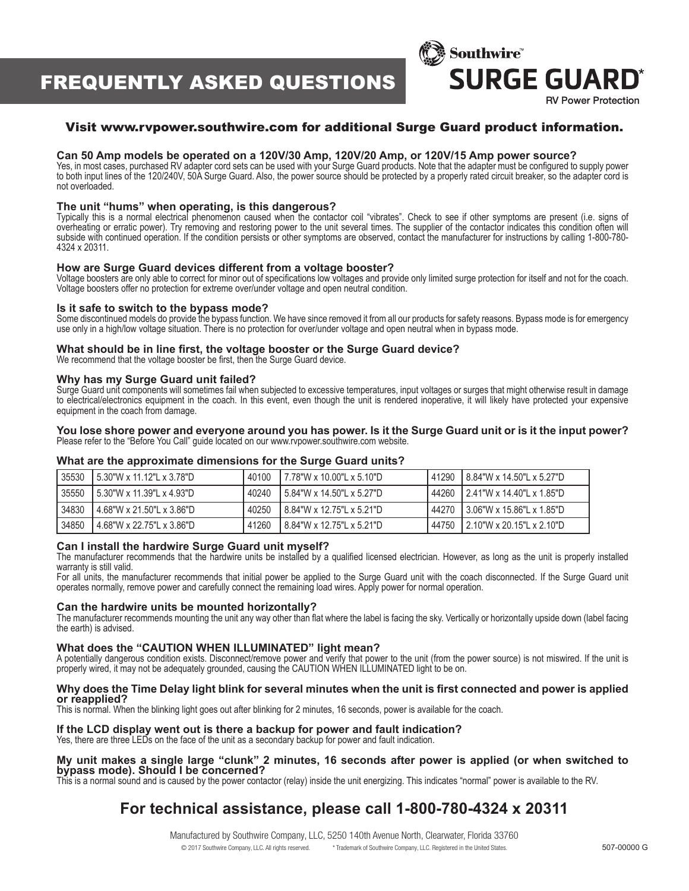# FREQUENTLY ASKED QUESTIONS



### Visit www.rvpower.southwire.com for additional Surge Guard product information.

#### **Can 50 Amp models be operated on a 120V/30 Amp, 120V/20 Amp, or 120V/15 Amp power source?**

Yes, in most cases, purchased RV adapter cord sets can be used with your Surge Guard products. Note that the adapter must be configured to supply power to both input lines of the 120/240V, 50A Surge Guard. Also, the power source should be protected by a properly rated circuit breaker, so the adapter cord is not overloaded.

#### **The unit "hums" when operating, is this dangerous?**

Typically this is a normal electrical phenomenon caused when the contactor coil "vibrates". Check to see if other symptoms are present (i.e. signs of overheating or erratic power). Try removing and restoring power to the unit several times. The supplier of the contactor indicates this condition often will subside with continued operation. If the condition persists or other symptoms are observed, contact the manufacturer for instructions by calling 1-800-780- 4324 x 20311.

#### **How are Surge Guard devices different from a voltage booster?**

Voltage boosters are only able to correct for minor out of specifications low voltages and provide only limited surge protection for itself and not for the coach. Voltage boosters offer no protection for extreme over/under voltage and open neutral condition.

#### **Is it safe to switch to the bypass mode?**

Some discontinued models do provide the bypass function. We have since removed it from all our products for safety reasons. Bypass mode is for emergency use only in a high/low voltage situation. There is no protection for over/under voltage and open neutral when in bypass mode.

#### **What should be in line first, the voltage booster or the Surge Guard device?**

We recommend that the voltage booster be first, then the Surge Guard device.

#### **Why has my Surge Guard unit failed?**

Surge Guard unit components will sometimes fail when subjected to excessive temperatures, input voltages or surges that might otherwise result in damage to electrical/electronics equipment in the coach. In this event, even though the unit is rendered inoperative, it will likely have protected your expensive equipment in the coach from damage.

#### **You lose shore power and everyone around you has power. Is it the Surge Guard unit or is it the input power?** Please refer to the "Before You Call" guide located on our www.rvpower.southwire.com website.

#### **What are the approximate dimensions for the Surge Guard units?**

| 35530 | 5.30"W x 11.12"L x 3.78"D   | 40100 | 17.78"W x 10.00"L x 5.10"D | 41290 | 18.84"W x 14.50"L x 5.27"D    |
|-------|-----------------------------|-------|----------------------------|-------|-------------------------------|
| 35550 | i 5.30"W x 11.39"L x 4.93"D | 40240 | 15.84"W x 14.50"L x 5.27"D | 44260 | 12.41"W x 14.40"L x 1.85"D    |
| 34830 | 4.68"W x 21.50"L x 3.86"D   | 40250 | 18.84"W x 12.75"L x 5.21"D | 44270 | 13.06"W x 15.86"L x 1.85"D    |
| 34850 | 4.68"W x 22.75"L x 3.86"D   | 41260 | 18.84"W x 12.75"L x 5.21"D | 44750 | $12.10$ "W x 20.15"L x 2.10"D |

#### **Can I install the hardwire Surge Guard unit myself?**

The manufacturer recommends that the hardwire units be installed by a qualified licensed electrician. However, as long as the unit is properly installed warranty is still valid.

For all units, the manufacturer recommends that initial power be applied to the Surge Guard unit with the coach disconnected. If the Surge Guard unit operates normally, remove power and carefully connect the remaining load wires. Apply power for normal operation.

#### **Can the hardwire units be mounted horizontally?**

The manufacturer recommends mounting the unit any way other than flat where the label is facing the sky. Vertically or horizontally upside down (label facing the earth) is advised.

#### **What does the "CAUTION WHEN ILLUMINATED" light mean?**

A potentially dangerous condition exists. Disconnect/remove power and verify that power to the unit (from the power source) is not miswired. If the unit is properly wired, it may not be adequately grounded, causing the CAUTION WHEN ILLUMINATED light to be on.

#### **Why does the Time Delay light blink for several minutes when the unit is first connected and power is applied or reapplied?**

This is normal. When the blinking light goes out after blinking for 2 minutes, 16 seconds, power is available for the coach.

#### **If the LCD display went out is there a backup for power and fault indication?**

Yes, there are three LEDs on the face of the unit as a secondary backup for power and fault indication.

#### **My unit makes a single large "clunk" 2 minutes, 16 seconds after power is applied (or when switched to bypass mode). Should I be concerned?**

This is a normal sound and is caused by the power contactor (relay) inside the unit energizing. This indicates "normal" power is available to the RV.

# **For technical assistance, please call 1-800-780-4324 x 20311**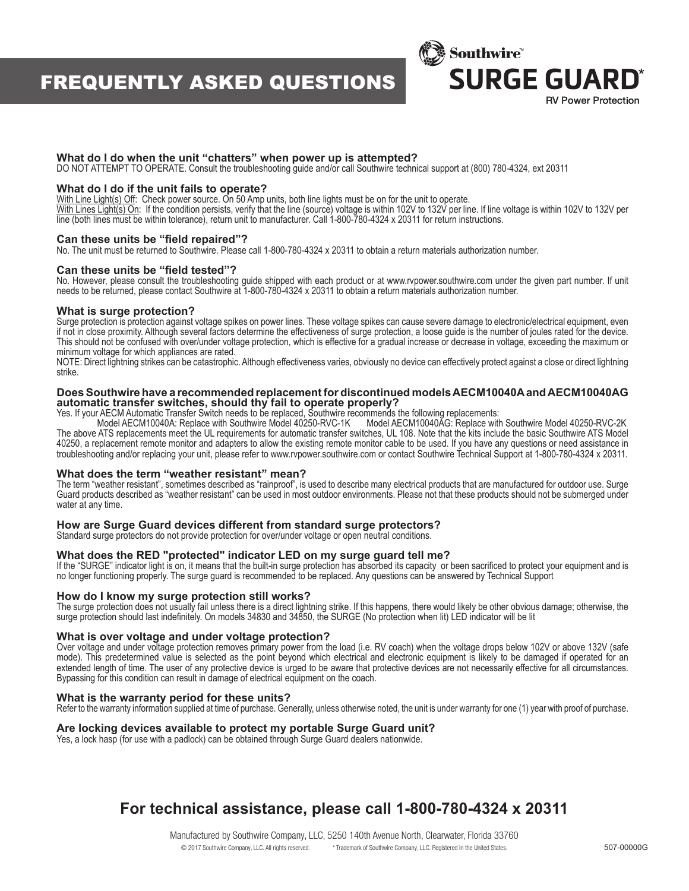# FREQUENTLY ASKED QUESTIONS



#### **What do I do when the unit "chatters" when power up is attempted?**

DO NOT ATTEMPT TO OPERATE. Consult the troubleshooting guide and/or call Southwire technical support at (800) 780-4324, ext 20311

#### **What do I do if the unit fails to operate?**

With Line Light(s) Off: Check power source. On 50 Amp units, both line lights must be on for the unit to operate.

With Lines Light(s) On: If the condition persists, verify that the line (source) voltage is within 102V to 132V per line. If line voltage is within 102V to 132V per line. If line voltage is within 102V to 132V per line (both lines must be within tolerance), return unit to manufacturer. Call 1-800-780-4324 x 20311 for return instructions.

#### **Can these units be "field repaired"?**

No. The unit must be returned to Southwire. Please call 1-800-780-4324 x 20311 to obtain a return materials authorization number.

#### **Can these units be "field tested"?**

No. However, please consult the troubleshooting guide shipped with each product or at www.rvpower.southwire.com under the given part number. If unit needs to be returned, please contact Southwire at 1-800-780-4324 x 20311 to obtain a return materials authorization number.

#### **What is surge protection?**

Surge protection is protection against voltage spikes on power lines. These voltage spikes can cause severe damage to electronic/electrical equipment, even if not in close proximity. Although several factors determine the effectiveness of surge protection, a loose guide is the number of joules rated for the device. This should not be confused with over/under voltage protection, which is effective for a gradual increase or decrease in voltage, exceeding the maximum or minimum voltage for which appliances are rated.

NOTE: Direct lightning strikes can be catastrophic. Although effectiveness varies, obviously no device can effectively protect against a close or direct lightning strike.

#### **Does Southwire have a recommended replacement for discontinued models AECM10040A and AECM10040AG automatic transfer switches, should thy fail to operate properly?**

Yes. If your AECM Automatic Transfer Switch needs to be replaced, Southwire recommends the following replacements:

Model AECM10040A: Replace with Southwire Model 40250-RVC-1K Model AECM10040AG: Replace with Southwire Model 40250-RVC-2K The above ATS replacements meet the UL requirements for automatic transfer switches, UL 108. Note that the kits include the basic Southwire ATS Model 40250, a replacement remote monitor and adapters to allow the existing remote monitor cable to be used. If you have any questions or need assistance in troubleshooting and/or replacing your unit, please refer to www.rvpower.southwire.com or contact Southwire Technical Support at 1-800-780-4324 x 20311.

#### **What does the term "weather resistant" mean?**

The term "weather resistant", sometimes described as "rainproof", is used to describe many electrical products that are manufactured for outdoor use. Surge Guard products described as "weather resistant" can be used in most outdoor environments. Please not that these products should not be submerged under water at any time.

#### **How are Surge Guard devices different from standard surge protectors?**

Standard surge protectors do not provide protection for over/under voltage or open neutral conditions.

### **What does the RED "protected" indicator LED on my surge guard tell me?**

If the "SURGE" indicator light is on, it means that the built-in surge protection has absorbed its capacity or been sacrificed to protect your equipment and is no longer functioning properly. The surge guard is recommended to be replaced. Any questions can be answered by Technical Support

#### **How do I know my surge protection still works?**

The surge protection does not usually fail unless there is a direct lightning strike. If this happens, there would likely be other obvious damage; otherwise, the surge protection should last indefinitely. On models 34830 and 34850, the SURGE (No protection when lit) LED indicator will be lit

#### **What is over voltage and under voltage protection?**

Over voltage and under voltage protection removes primary power from the load (i.e. RV coach) when the voltage drops below 102V or above 132V (safe mode). This predetermined value is selected as the point beyond which electrical and electronic equipment is likely to be damaged if operated for an extended length of time. The user of any protective device is urged to be aware that protective devices are not necessarily effective for all circumstances. Bypassing for this condition can result in damage of electrical equipment on the coach.

#### **What is the warranty period for these units?**

Refer to the warranty information supplied at time of purchase. Generally, unless otherwise noted, the unit is under warranty for one (1) year with proof of purchase.

#### **Are locking devices available to protect my portable Surge Guard unit?**

Yes, a lock hasp (for use with a padlock) can be obtained through Surge Guard dealers nationwide.

# **For technical assistance, please call 1-800-780-4324 x 20311**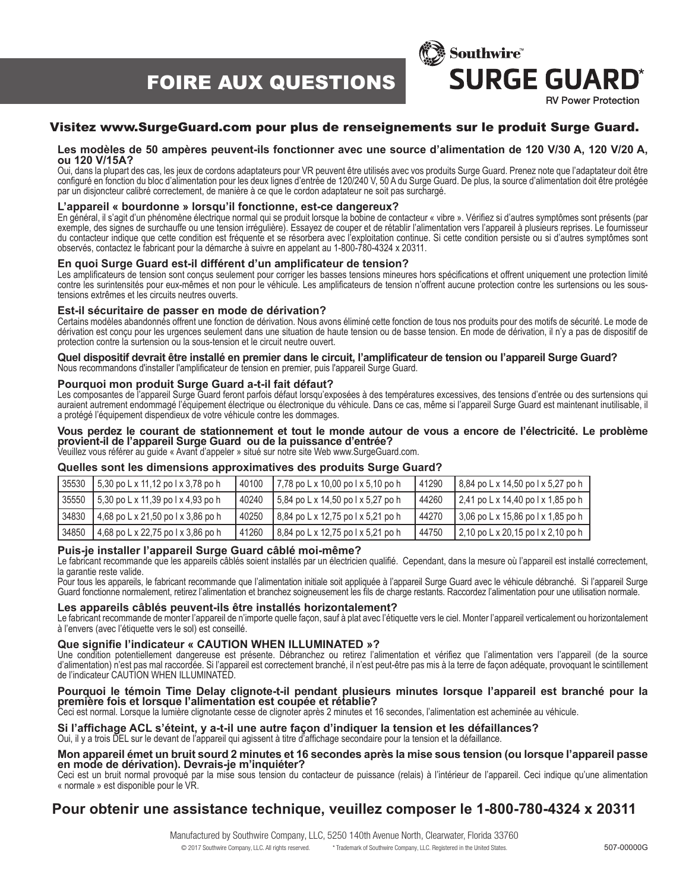FOIRE AUX QUESTIONS



### Visitez www.SurgeGuard.com pour plus de renseignements sur le produit Surge Guard.

#### **Les modèles de 50 ampères peuvent-ils fonctionner avec une source d'alimentation de 120 V/30 A, 120 V/20 A, ou 120 V/15A?**

Oui, dans la plupart des cas, les jeux de cordons adaptateurs pour VR peuvent être utilisés avec vos produits Surge Guard. Prenez note que l'adaptateur doit être configuré en fonction du bloc d'alimentation pour les deux lignes d'entrée de 120/240 V, 50 A du Surge Guard. De plus, la source d'alimentation doit être protégée par un disjoncteur calibré correctement, de manière à ce que le cordon adaptateur ne soit pas surchargé.

#### **L'appareil « bourdonne » lorsqu'il fonctionne, est-ce dangereux?**

En général, il s'agit d'un phénomène électrique normal qui se produit lorsque la bobine de contacteur « vibre ». Vérifiez si d'autres symptômes sont présents (par exemple, des signes de surchauffe ou une tension irrégulière). Essayez de couper et de rétablir l'alimentation vers l'appareil à plusieurs reprises. Le fournisseur du contacteur indique que cette condition est fréquente et se résorbera avec l'exploitation continue. Si cette condition persiste ou si d'autres symptômes sont observés, contactez le fabricant pour la démarche à suivre en appelant au 1-800-780-4324 x 20311.

#### **En quoi Surge Guard est-il différent d'un amplificateur de tension?**

Les amplificateurs de tension sont conçus seulement pour corriger les basses tensions mineures hors spécifications et offrent uniquement une protection limité contre les surintensités pour eux-mêmes et non pour le véhicule. Les amplificateurs de tension n'offrent aucune protection contre les surtensions ou les soustensions extrêmes et les circuits neutres ouverts.

#### **Est-il sécuritaire de passer en mode de dérivation?**

Certains modèles abandonnés offrent une fonction de dérivation. Nous avons éliminé cette fonction de tous nos produits pour des motifs de sécurité. Le mode de dérivation est conçu pour les urgences seulement dans une situation de haute tension ou de basse tension. En mode de dérivation, il n'y a pas de dispositif de protection contre la surtension ou la sous-tension et le circuit neutre ouvert.

#### **Quel dispositif devrait être installé en premier dans le circuit, l'amplificateur de tension ou l'appareil Surge Guard?** Nous recommandons d'installer l'amplificateur de tension en premier, puis l'appareil Surge Guard.

#### **Pourquoi mon produit Surge Guard a-t-il fait défaut?**

Les composantes de l'appareil Surge Guard feront parfois défaut lorsqu'exposées à des températures excessives, des tensions d'entrée ou des surtensions qui auraient autrement endommagé l'équipement électrique ou électronique du véhicule. Dans ce cas, même si l'appareil Surge Guard est maintenant inutilisable, il a protégé l'équipement dispendieux de votre véhicule contre les dommages.

#### **Vous perdez le courant de stationnement et tout le monde autour de vous a encore de l'électricité. Le problème provient-il de l'appareil Surge Guard ou de la puissance d'entrée?**

Veuillez vous référer au guide « Avant d'appeler » situé sur notre site Web www.SurgeGuard.com.

#### **Quelles sont les dimensions approximatives des produits Surge Guard?**

| 35530 | 5,30 po L x 11,12 po l x 3,78 po h | 40100 | $7,78$ po L x 10,00 po l x 5,10 po h | 41290 | 8,84 po L x 14,50 po l x 5,27 po h              |
|-------|------------------------------------|-------|--------------------------------------|-------|-------------------------------------------------|
| 35550 | 5,30 po L x 11,39 po l x 4,93 po h | 40240 | 5,84 po L x 14,50 po l x 5,27 po h   | 44260 | $\frac{1}{2}$ ,41 po L x 14,40 po l x 1,85 po h |
| 34830 | 4,68 po L x 21,50 po l x 3,86 po h | 40250 | 8,84 po L x 12,75 po l x 5,21 po h   | 44270 | 3,06 po L x 15,86 po l x 1,85 po h              |
| 34850 | 4,68 po L x 22,75 po l x 3,86 po h | 41260 | 8,84 po L x 12,75 po L x 5,21 po h   | 44750 | $\frac{1}{2}$ ,10 po L x 20,15 po l x 2,10 po h |

#### **Puis-je installer l'appareil Surge Guard câblé moi-même?**

Le fabricant recommande que les appareils câblés soient installés par un électricien qualifié. Cependant, dans la mesure où l'appareil est installé correctement, la garantie reste valide.

Pour tous les appareils, le fabricant recommande que l'alimentation initiale soit appliquée à l'appareil Surge Guard avec le véhicule débranché. Si l'appareil Surge Guard fonctionne normalement, retirez l'alimentation et branchez soigneusement les fils de charge restants. Raccordez l'alimentation pour une utilisation normale.

#### **Les appareils câblés peuvent-ils être installés horizontalement?**

Le fabricant recommande de monter l'appareil de n'importe quelle façon, sauf à plat avec l'étiquette vers le ciel. Monter l'appareil verticalement ou horizontalement à l'envers (avec l'étiquette vers le sol) est conseillé.

#### **Que signifie l'indicateur « CAUTION WHEN ILLUMINATED »?**

Une condition potentiellement dangereuse est présente. Débranchez ou retirez l'alimentation et vérifiez que l'alimentation vers l'appareil (de la source d'alimentation) n'est pas mal raccordée. Si l'appareil est correctement branché, il n'est peut-être pas mis à la terre de façon adéquate, provoquant le scintillement de l'indicateur CAUTION WHEN ILLUMINATED.

#### **Pourquoi le témoin Time Delay clignote-t-il pendant plusieurs minutes lorsque l'appareil est branché pour la première fois et lorsque l'alimentation est coupée et rétablie?**

Ceci est normal. Lorsque la lumière clignotante cesse de clignoter après 2 minutes et 16 secondes, l'alimentation est acheminée au véhicule.

#### **Si l'affichage ACL s'éteint, y a-t-il une autre façon d'indiquer la tension et les défaillances?**  Oui, il y a trois DEL sur le devant de l'appareil qui agissent à titre d'affichage secondaire pour la tension et la défaillance.

#### **Mon appareil émet un bruit sourd 2 minutes et 16 secondes après la mise sous tension (ou lorsque l'appareil passe en mode de dérivation). Devrais-je m'inquiéter?**

Ceci est un bruit normal provoqué par la mise sous tension du contacteur de puissance (relais) à l'intérieur de l'appareil. Ceci indique qu'une alimentation « normale » est disponible pour le VR.

## **Pour obtenir une assistance technique, veuillez composer le 1-800-780-4324 x 20311**